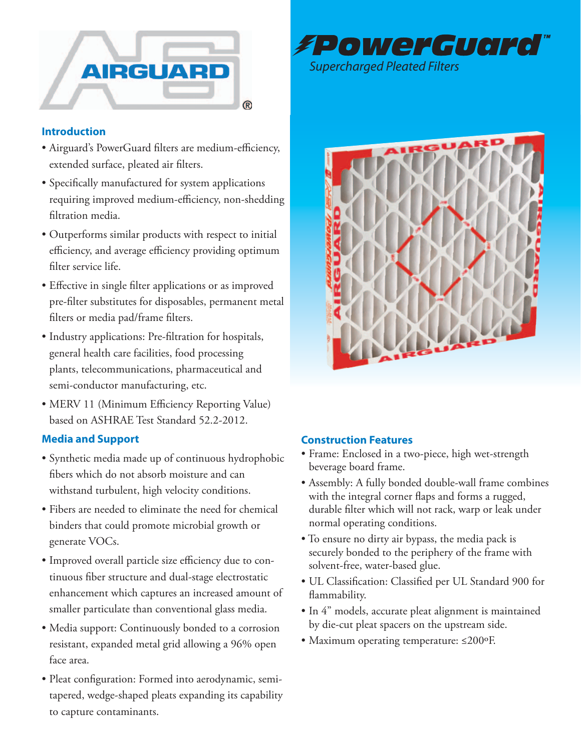



## **Introduction**

- • Airguard's PowerGuard filters are medium-efficiency, extended surface, pleated air filters.
- • Specifically manufactured for system applications requiring improved medium-efficiency, non-shedding filtration media.
- • Outperforms similar products with respect to initial efficiency, and average efficiency providing optimum filter service life.
- Effective in single filter applications or as improved pre-filter substitutes for disposables, permanent metal filters or media pad/frame filters.
- • Industry applications: Pre-filtration for hospitals, general health care facilities, food processing plants, telecommunications, pharmaceutical and semi-conductor manufacturing, etc.
- MERV 11 (Minimum Efficiency Reporting Value) based on ASHRAE Test Standard 52.2-2012.

## **Media and Support**

- • Synthetic media made up of continuous hydrophobic fibers which do not absorb moisture and can withstand turbulent, high velocity conditions.
- • Fibers are needed to eliminate the need for chemical binders that could promote microbial growth or generate VOCs.
- Improved overall particle size efficiency due to continuous fiber structure and dual-stage electrostatic enhancement which captures an increased amount of smaller particulate than conventional glass media.
- Media support: Continuously bonded to a corrosion resistant, expanded metal grid allowing a 96% open face area.
- • Pleat configuration: Formed into aerodynamic, semitapered, wedge-shaped pleats expanding its capability to capture contaminants.



## **Construction Features**

- • Frame: Enclosed in a two-piece, high wet-strength beverage board frame.
- Assembly: A fully bonded double-wall frame combines with the integral corner flaps and forms a rugged, durable filter which will not rack, warp or leak under normal operating conditions.
- To ensure no dirty air bypass, the media pack is securely bonded to the periphery of the frame with solvent-free, water-based glue.
- • UL Classification: Classified per UL Standard 900 for flammability.
- In 4" models, accurate pleat alignment is maintained by die-cut pleat spacers on the upstream side.
- • Maximum operating temperature: ≤200ºF.